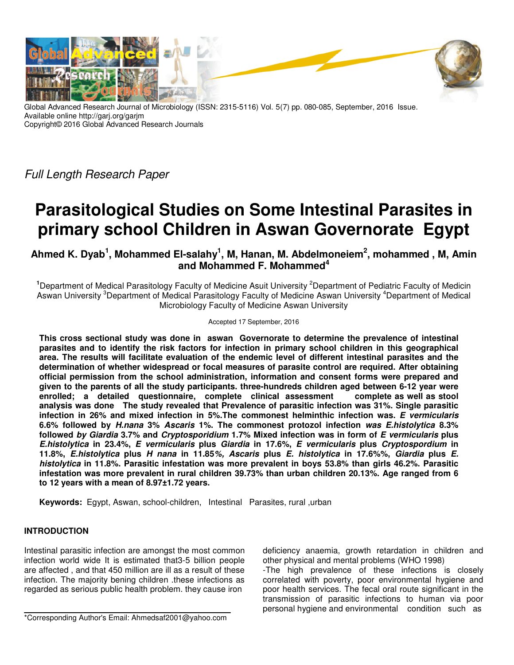

Global Advanced Research Journal of Microbiology (ISSN: 2315-5116) Vol. 5(7) pp. 080-085, September, 2016 Issue. Available online http://garj.org/garjm Copyright© 2016 Global Advanced Research Journals

Full Length Research Paper

# **Parasitological Studies on Some Intestinal Parasites in primary school Children in Aswan Governorate Egypt**

**Ahmed K. Dyab<sup>1</sup> , Mohammed El-salahy<sup>1</sup> , M, Hanan, M. Abdelmoneiem<sup>2</sup> , mohammed , M, Amin and Mohammed F. Mohammed<sup>4</sup>**

<sup>1</sup>Department of Medical Parasitology Faculty of Medicine Asuit University <sup>2</sup>Department of Pediatric Faculty of Medicin Aswan University <sup>3</sup>Department of Medical Parasitology Faculty of Medicine Aswan University <sup>4</sup>Department of Medical Microbiology Faculty of Medicine Aswan University

#### Accepted 17 September, 2016

**This cross sectional study was done in aswan Governorate to determine the prevalence of intestinal parasites and to identify the risk factors for infection in primary school children in this geographical area. The results will facilitate evaluation of the endemic level of different intestinal parasites and the determination of whether widespread or focal measures of parasite control are required. After obtaining official permission from the school administration, information and consent forms were prepared and given to the parents of all the study participants. three-hundreds children aged between 6-12 year were enrolled; a detailed questionnaire, complete clinical assessment complete as well as stool analysis was done The study revealed that Prevalence of parasitic infection was 31%. Single parasitic infection in 26% and mixed infection in 5%.The commonest helminthic infection was. E vermicularis 6.6% followed by H.nana 3% Ascaris 1%. The commonest protozol infection was E.histolytica 8.3% followed by Giardia 3.7% and Cryptosporidium 1.7% Mixed infection was in form of E vermicularis plus E.histolytica in 23.4%, E vermicularis plus Giardia in 17.6%, E vermicularis plus Cryptospordium in 11.8%, E.histolytica plus H nana in 11.85%, Ascaris plus E. histolytica in 17.6%%, Giardia plus E. histolytica in 11.8%. Parasitic infestation was more prevalent in boys 53.8% than girls 46.2%. Parasitic infestation was more prevalent in rural children 39.73% than urban children 20.13%. Age ranged from 6 to 12 years with a mean of 8.97±1.72 years.** 

**Keywords:** Egypt, Aswan, school-children, Intestinal Parasites, rural ,urban

# **INTRODUCTION**

Intestinal parasitic infection are amongst the most common infection world wide It is estimated that3-5 billion people are affected , and that 450 million are ill as a result of these infection. The majority bening children .these infections as regarded as serious public health problem. they cause iron

deficiency anaemia, growth retardation in children and other physical and mental problems (WHO 1998)

-The high prevalence of these infections is closely correlated with poverty, poor environmental hygiene and poor health services. The fecal oral route significant in the transmission of parasitic infections to human via poor personal hygiene and environmental condition such as

<sup>\*</sup>Corresponding Author's Email: Ahmedsaf2001@yahoo.com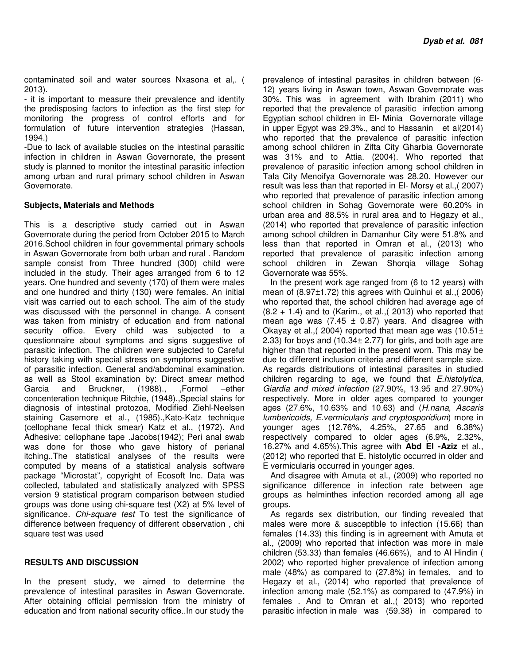contaminated soil and water sources Nxasona et al,. ( 2013).

- it is important to measure their prevalence and identify the predisposing factors to infection as the first step for monitoring the progress of control efforts and for formulation of future intervention strategies (Hassan, 1994.)

-Due to lack of available studies on the intestinal parasitic infection in children in Aswan Governorate, the present study is planned to monitor the intestinal parasitic infection among urban and rural primary school children in Aswan Governorate.

## **Subjects, Materials and Methods**

This is a descriptive study carried out in Aswan Governorate during the period from October 2015 to March 2016.School children in four governmental primary schools in Aswan Governorate from both urban and rural . Random sample consist from Three hundred (300) child were included in the study. Their ages arranged from 6 to 12 years. One hundred and seventy (170) of them were males and one hundred and thirty (130) were females. An initial visit was carried out to each school. The aim of the study was discussed with the personnel in change. A consent was taken from ministry of education and from national security office. Every child was subjected to a questionnaire about symptoms and signs suggestive of parasitic infection. The children were subjected to Careful history taking with special stress on symptoms suggestive of parasitic infection. General and/abdominal examination. as well as Stool examination by: Direct smear method Garcia and Bruckner, (1988)., ,Formol –ether concenteration technique Ritchie, (1948).,Special stains for diagnosis of intestinal protozoa, Modified Ziehl-Neelsen staining Casemore et al., (1985).,Kato-Katz technique (cellophane fecal thick smear) Katz et al., (1972). And Adhesive: cellophane tape .Jacobs(1942); Peri anal swab was done for those who gave history of perianal itching..The statistical analyses of the results were computed by means of a statistical analysis software package "Microstat", copyright of Ecosoft Inc. Data was collected, tabulated and statistically analyzed with SPSS version 9 statistical program comparison between studied groups was done using chi-square test (X2) at 5% level of significance. Chi-square test To test the significance of difference between frequency of different observation , chi square test was used

### **RESULTS AND DISCUSSION**

In the present study, we aimed to determine the prevalence of intestinal parasites in Aswan Governorate. After obtaining official permission from the ministry of education and from national security office..In our study the

prevalence of intestinal parasites in children between (6- 12) years living in Aswan town, Aswan Governorate was 30%. This was in agreement with Ibrahim (2011) who reported that the prevalence of parasitic infection among Egyptian school children in El- Minia Governorate village in upper Egypt was 29.3%., and to Hassanin et al(2014) who reported that the prevalence of parasitic infection among school children in Zifta City Gharbia Governorate was 31% and to Attia. (2004). Who reported that prevalence of parasitic infection among school children in Tala City Menoifya Governorate was 28.20. However our result was less than that reported in El- Morsy et al.,( 2007) who reported that prevalence of parasitic infection among school children in Sohag Governorate were 60.20% in urban area and 88.5% in rural area and to Hegazy et al., (2014) who reported that prevalence of parasitic infection among school children in Damanhur City were 51.8% and less than that reported in Omran et al., (2013) who reported that prevalence of parasitic infection among school children in Zewan Shorqia village Sohag Governorate was 55%.

In the present work age ranged from (6 to 12 years) with mean of (8.97±1.72) this agrees with Quinhui et al.,( 2006) who reported that, the school children had average age of  $(8.2 + 1.4)$  and to (Karim., et al., (2013) who reported that mean age was  $(7.45 \pm 0.87)$  years. And disagree with Okayay et al., (2004) reported that mean age was  $(10.51 \pm 1)$ 2.33) for boys and (10.34± 2.77) for girls, and both age are higher than that reported in the present worn. This may be due to different inclusion criteria and different sample size. As regards distributions of intestinal parasites in studied children regarding to age, we found that E.histolytica, Giardia and mixed infection (27.90%, 13.95 and 27.90%) respectively. More in older ages compared to younger ages (27.6%, 10.63% and 10.63) and (H.nana, Ascaris lumbericoids, E.vermicularis and cryptosporidium) more in younger ages (12.76%, 4.25%, 27.65 and 6.38%) respectively compared to older ages (6.9%, 2.32%, 16.27% and 4.65%).This agree with **Abd El -Aziz** et al., (2012) who reported that E. histolytic occurred in older and E vermicularis occurred in younger ages.

And disagree with Amuta et al., (2009) who reported no significance difference in infection rate between age groups as helminthes infection recorded among all age groups.

As regards sex distribution, our finding revealed that males were more & susceptible to infection (15.66) than females (14.33) this finding is in agreement with Amuta et al., (2009) who reported that infection was more in male children (53.33) than females (46.66%), and to Al Hindin ( 2002) who reported higher prevalence of infection among male (48%) as compared to (27.8%) in females, and to Hegazy et al., (2014) who reported that prevalence of infection among male (52.1%) as compared to (47.9%) in females . And to Omran et al.,( 2013) who reported parasitic infection in male was (59.38) in compared to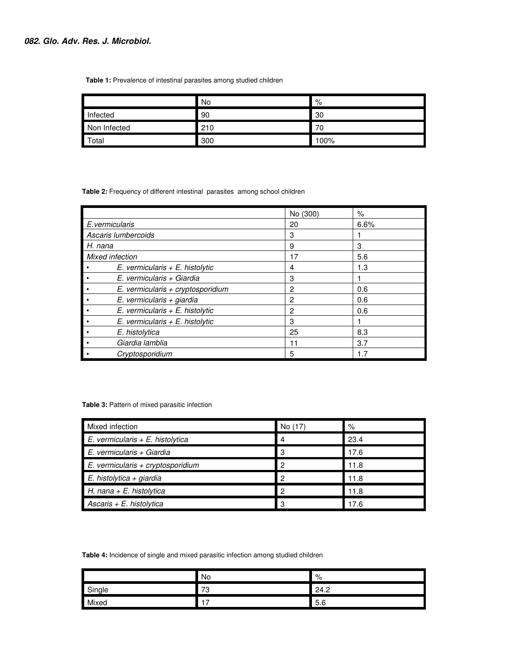#### **Table 1:** Prevalence of intestinal parasites among studied children

|              | No  | %    |
|--------------|-----|------|
| Infected     | 90  | 30   |
| Non Infected | 210 | 70   |
| Total        | 300 | 100% |

 **Table 2:** Frequency of different intestinal parasites among school children

|                                     | No (300) | $\%$ |
|-------------------------------------|----------|------|
| E.vermicularis                      | 20       | 6.6% |
| Ascaris lumbercoids                 | 3        |      |
| H. nana                             | 9        | 3    |
| <b>Mixed infection</b>              | 17       | 5.6  |
| E. vermicularis $+ E$ . histolytic  | 4        | 1.3  |
| E. vermicularis + Giardia           | 3        |      |
| $E.$ vermicularis + cryptosporidium | 2        | 0.6  |
| E. vermicularis + giardia           | 2        | 0.6  |
| E. vermicularis $+ E$ . histolytic  | 2        | 0.6  |
| E. vermicularis $+ E$ . histolytic  | 3        |      |
| E. histolytica                      | 25       | 8.3  |
| Giardia lamblia                     | 11       | 3.7  |
| Cryptosporidium                     | 5        | 1.7  |

#### **Table 3:** Pattern of mixed parasitic infection

| Mixed infection                    | No (17) | %    |
|------------------------------------|---------|------|
| $E.$ vermicularis + E. histolytica |         | 23.4 |
| E. vermicularis + Giardia          | з       | 17.6 |
| E. vermicularis + cryptosporidium  | ິ       | 11.8 |
| $E.$ histolytica + giardia         |         | 11.8 |
| H. nana + E. histolytica           | റ       | 11.8 |
| Ascaris $+ E$ . histolytica        |         | 17.6 |

 **Table 4:** Incidence of single and mixed parasitic infection among studied children

|        | No      | %    |
|--------|---------|------|
| Single | 70<br>J | 24.2 |
| Mixed  | –       | 5.6  |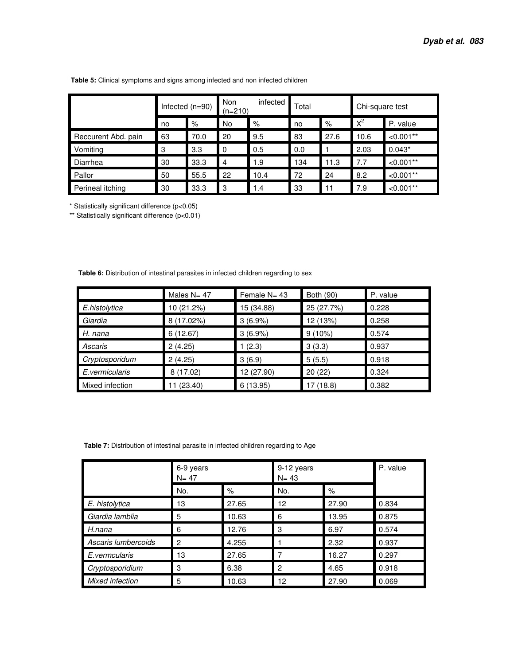|                     | Infected $(n=90)$ |      | infected<br>Non<br>$(n=210)$ |      | Total |      | Chi-square test |             |
|---------------------|-------------------|------|------------------------------|------|-------|------|-----------------|-------------|
|                     | no                | %    | No                           | %    | no    | %    | $X^2$           | P. value    |
| Reccurent Abd. pain | 63                | 70.0 | 20                           | 9.5  | 83    | 27.6 | 10.6            | $< 0.001**$ |
| Vomiting            | 3                 | 3.3  | $\mathbf 0$                  | 0.5  | 0.0   |      | 2.03            | $0.043*$    |
| Diarrhea            | 30                | 33.3 | $\overline{4}$               | 1.9  | 134   | 11.3 | 7.7             | $< 0.001**$ |
| Pallor              | 50                | 55.5 | 22                           | 10.4 | 72    | 24   | 8.2             | $< 0.001**$ |
| Perineal itching    | 30                | 33.3 | -3                           | 1.4  | 33    | 11   | 7.9             | $< 0.001**$ |

 **Table 5:** Clinical symptoms and signs among infected and non infected children

\* Statistically significant difference (p<0.05)

\*\* Statistically significant difference (p<0.01)

 **Table 6:** Distribution of intestinal parasites in infected children regarding to sex

|                 | Males $N = 47$ | Female N= 43 | Both (90)  | P. value |
|-----------------|----------------|--------------|------------|----------|
| E.histolytica   | 10 (21.2%)     | 15 (34.88)   | 25 (27.7%) | 0.228    |
| Giardia         | 8 (17.02%)     | 3(6.9%)      | 12 (13%)   | 0.258    |
| H. nana         | 6(12.67)       | 3(6.9%)      | $9(10\%)$  | 0.574    |
| Ascaris         | 2(4.25)        | 1(2.3)       | 3(3.3)     | 0.937    |
| Cryptosporidum  | 2(4.25)        | 3(6.9)       | 5(5.5)     | 0.918    |
| E.vermicularis  | 8(17.02)       | 12 (27.90)   | 20(22)     | 0.324    |
| Mixed infection | (23.40)        | 6(13.95)     | 17 (18.8)  | 0.382    |

 **Table 7:** Distribution of intestinal parasite in infected children regarding to Age

|                     | 6-9 years<br>$N = 47$ |       | 9-12 years<br>$N = 43$ | P. value |       |
|---------------------|-----------------------|-------|------------------------|----------|-------|
|                     | No.                   | $\%$  | No.                    | %        |       |
| E. histolytica      | 13                    | 27.65 | 12                     | 27.90    | 0.834 |
| Giardia lamblia     | 5                     | 10.63 | 6                      | 13.95    | 0.875 |
| H.nana              | 6                     | 12.76 | 3                      | 6.97     | 0.574 |
| Ascaris lumbercoids | 2                     | 4.255 |                        | 2.32     | 0.937 |
| E.vermcularis       | 13                    | 27.65 |                        | 16.27    | 0.297 |
| Cryptosporidium     | 3                     | 6.38  | 2                      | 4.65     | 0.918 |
| Mixed infection     | 5                     | 10.63 | 12                     | 27.90    | 0.069 |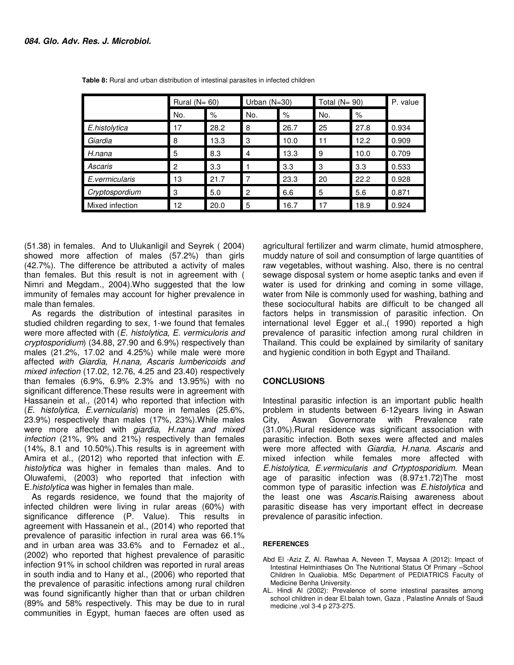|                 | Rural ( $N = 60$ ) |      | Urban $(N=30)$ |      | Total $(N = 90)$ |      | P. value |
|-----------------|--------------------|------|----------------|------|------------------|------|----------|
|                 | No.                | %    | No.            | %    | No.              | %    |          |
| E.histolytica   | 17                 | 28.2 | 8              | 26.7 | 25               | 27.8 | 0.934    |
| Giardia         | 8                  | 13.3 | 3              | 10.0 | 11               | 12.2 | 0.909    |
| H.nana          | 5                  | 8.3  | 4              | 13.3 | 9                | 10.0 | 0.709    |
| Ascaris         | $\overline{2}$     | 3.3  |                | 3.3  | 3                | 3.3  | 0.533    |
| E.vermicularis  | 13                 | 21.7 | 7              | 23.3 | 20               | 22.2 | 0.928    |
| Cryptospordium  | 3                  | 5.0  | 2              | 6.6  | 5                | 5.6  | 0.871    |
| Mixed infection | 12                 | 20.0 | 5              | 16.7 | 17               | 18.9 | 0.924    |

 **Table 8:** Rural and urban distribution of intestinal parasites in infected children

(51.38) in females. And to Ulukanligil and Seyrek ( 2004) showed more affection of males (57.2%) than girls (42.7%). The difference be attributed a activity of males than females. But this result is not in agreement with ( Nimri and Megdam., 2004).Who suggested that the low immunity of females may account for higher prevalence in male than females.

As regards the distribution of intestinal parasites in studied children regarding to sex, 1-we found that females were more affected with (E. histolytica, E. vermiculoris and cryptosporidium) (34.88, 27.90 and 6.9%) respectively than males (21.2%, 17.02 and 4.25%) while male were more affected with Giardia, H.nana, Ascaris lumbericoids and mixed infection (17.02, 12.76, 4.25 and 23.40) respectively than females (6.9%, 6.9% 2.3% and 13.95%) with no significant difference.These results were in agreement with Hassanein et al., (2014) who reported that infection with (E. histolytica, E.vernicularis) more in females (25.6%, 23.9%) respectively than males (17%, 23%).While males were more affected with giardia, H.nana and mixed infection (21%, 9% and 21%) respectively than females (14%, 8.1 and 10.50%).This results is in agreement with Amira et al., (2012) who reported that infection with E. histolytica was higher in females than males. And to Oluwafemi, (2003) who reported that infection with E.histolytica was higher in females than male.

As regards residence, we found that the majority of infected children were living in rular areas (60%) with significance difference (P. Value). This results in agreement with Hassanein et al., (2014) who reported that prevalence of parasitic infection in rural area was 66.1% and in urban area was 33.6% and to Fernadez et al., (2002) who reported that highest prevalence of parasitic infection 91% in school children was reported in rural areas in south india and to Hany et al., (2006) who reported that the prevalence of parasitic infections among rural children was found significantly higher than that or urban children (89% and 58% respectively. This may be due to in rural communities in Egypt, human faeces are often used as

agricultural fertilizer and warm climate, humid atmosphere, muddy nature of soil and consumption of large quantities of raw vegetables, without washing. Also, there is no central sewage disposal system or home aseptic tanks and even if water is used for drinking and coming in some village, water from Nile is commonly used for washing, bathing and these sociocultural habits are difficult to be changed all factors helps in transmission of parasitic infection. On international level Egger et al.,( 1990) reported a high prevalence of parasitic infection among rural children in Thailand. This could be explained by similarity of sanitary and hygienic condition in both Egypt and Thailand.

### **CONCLUSIONS**

Intestinal parasitic infection is an important public health problem in students between 6-12years living in Aswan City, Aswan Governorate with Prevalence rate (31.0%).Rural residence was significant association with parasitic infection. Both sexes were affected and males were more affected with Giardia, H.nana. Ascaris and mixed infection while females more affected with E.histolytica, E.vermicularis and Crtyptosporidium. Mean age of parasitic infection was (8.97±1.72)The most common type of parasitic infection was E.histolytica and the least one was Ascaris.Raising awareness about parasitic disease has very important effect in decrease prevalence of parasitic infection.

### **REFERENCES**

- Abd El -Aziz Z, Al. Rawhaa A, Neveen T, Maysaa A (2012): Impact of Intestinal Helminthiases On The Nutritional Status Of Primary –School Children In Qualiobia. MSc Department of PEDIATRICS Faculty of Medicine Benha University.
- AL. Hindi Al (2002): Prevalence of some intestinal parasites among school children in dear El.balah town, Gaza , Palastine Annals of Saudi medicine ,vol 3-4 p 273-275.